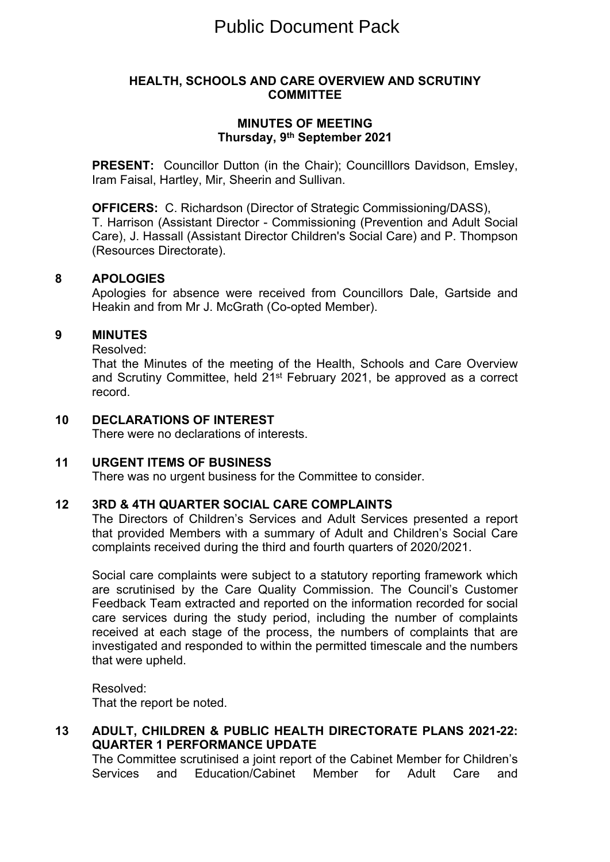### **HEALTH, SCHOOLS AND CARE OVERVIEW AND SCRUTINY COMMITTEE**

# **MINUTES OF MEETING Thursday, 9 th September 2021**

**PRESENT:** Councillor Dutton (in the Chair): Councilllors Davidson, Emsley, Iram Faisal, Hartley, Mir, Sheerin and Sullivan.

**OFFICERS:** C. Richardson (Director of Strategic Commissioning/DASS), T. Harrison (Assistant Director - Commissioning (Prevention and Adult Social Care), J. Hassall (Assistant Director Children's Social Care) and P. Thompson (Resources Directorate).

#### **8 APOLOGIES**

Apologies for absence were received from Councillors Dale, Gartside and Heakin and from Mr J. McGrath (Co-opted Member).

#### **9 MINUTES**

Resolved:

That the Minutes of the meeting of the Health, Schools and Care Overview and Scrutiny Committee, held 21st February 2021, be approved as a correct record.

**10 DECLARATIONS OF INTEREST**

There were no declarations of interests.

# **11 URGENT ITEMS OF BUSINESS**

There was no urgent business for the Committee to consider.

# **12 3RD & 4TH QUARTER SOCIAL CARE COMPLAINTS**

The Directors of Children's Services and Adult Services presented a report that provided Members with a summary of Adult and Children's Social Care complaints received during the third and fourth quarters of 2020/2021.

Social care complaints were subject to a statutory reporting framework which are scrutinised by the Care Quality Commission. The Council's Customer Feedback Team extracted and reported on the information recorded for social care services during the study period, including the number of complaints received at each stage of the process, the numbers of complaints that are investigated and responded to within the permitted timescale and the numbers that were upheld.

Resolved: That the report be noted.

# **13 ADULT, CHILDREN & PUBLIC HEALTH DIRECTORATE PLANS 2021-22: QUARTER 1 PERFORMANCE UPDATE**

The Committee scrutinised a joint report of the Cabinet Member for Children's Services and Education/Cabinet Member for Adult Care and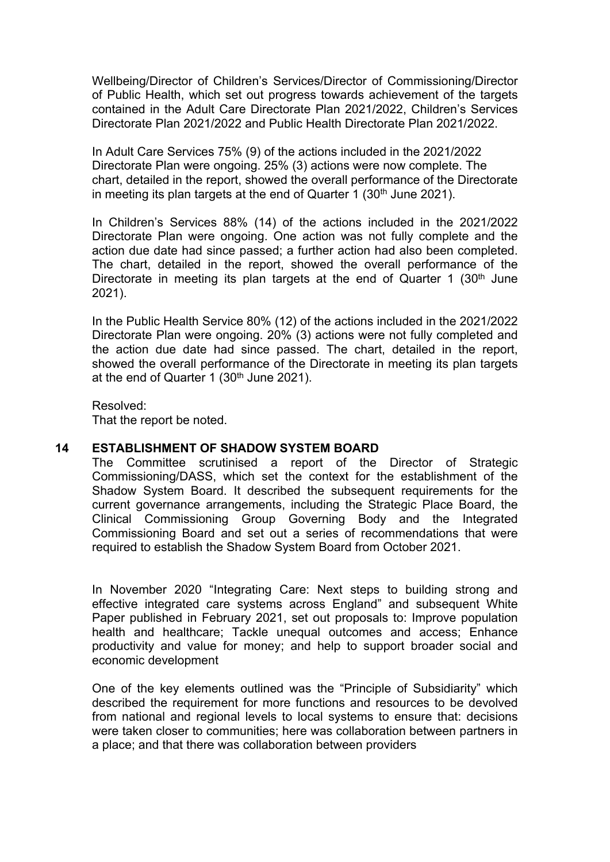Wellbeing/Director of Children's Services/Director of Commissioning/Director of Public Health, which set out progress towards achievement of the targets contained in the Adult Care Directorate Plan 2021/2022, Children's Services Directorate Plan 2021/2022 and Public Health Directorate Plan 2021/2022.

In Adult Care Services 75% (9) of the actions included in the 2021/2022 Directorate Plan were ongoing. 25% (3) actions were now complete. The chart, detailed in the report, showed the overall performance of the Directorate in meeting its plan targets at the end of Quarter 1  $(30<sup>th</sup>$  June 2021).

In Children's Services 88% (14) of the actions included in the 2021/2022 Directorate Plan were ongoing. One action was not fully complete and the action due date had since passed; a further action had also been completed. The chart, detailed in the report, showed the overall performance of the Directorate in meeting its plan targets at the end of Quarter 1  $(30<sup>th</sup>$  June 2021).

In the Public Health Service 80% (12) of the actions included in the 2021/2022 Directorate Plan were ongoing. 20% (3) actions were not fully completed and the action due date had since passed. The chart, detailed in the report, showed the overall performance of the Directorate in meeting its plan targets at the end of Quarter 1 (30<sup>th</sup> June 2021).

Resolved: That the report be noted.

# **14 ESTABLISHMENT OF SHADOW SYSTEM BOARD**

The Committee scrutinised a report of the Director of Strategic Commissioning/DASS, which set the context for the establishment of the Shadow System Board. It described the subsequent requirements for the current governance arrangements, including the Strategic Place Board, the Clinical Commissioning Group Governing Body and the Integrated Commissioning Board and set out a series of recommendations that were required to establish the Shadow System Board from October 2021.

In November 2020 "Integrating Care: Next steps to building strong and effective integrated care systems across England" and subsequent White Paper published in February 2021, set out proposals to: Improve population health and healthcare; Tackle unequal outcomes and access; Enhance productivity and value for money; and help to support broader social and economic development

One of the key elements outlined was the "Principle of Subsidiarity" which described the requirement for more functions and resources to be devolved from national and regional levels to local systems to ensure that: decisions were taken closer to communities; here was collaboration between partners in a place; and that there was collaboration between providers